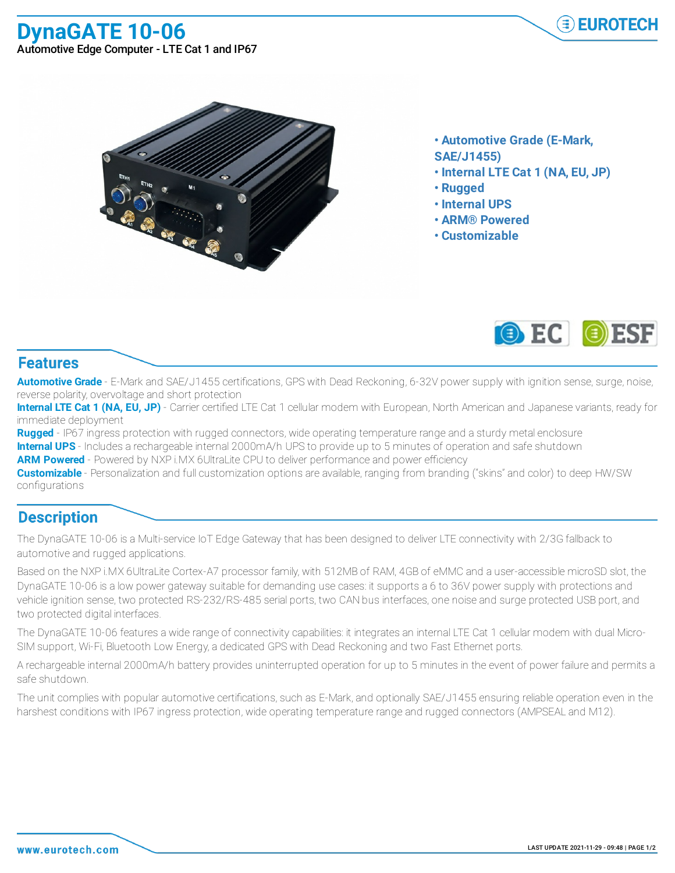**DynaGATE 10-06** Automotive Edge Computer - LTE Cat 1 and IP67





- **• Automotive Grade (E-Mark,**
- **SAE/J1455)**
- **• Internal LTE Cat 1 (NA, EU, JP)**
- **• Rugged**
- **• Internal UPS**
- **• ARM® Powered**
- **• Customizable**



## **Features**

**Automotive Grade** - E-Mark and SAE/J1455 certifications, GPS with Dead Reckoning, 6-32V power supply with ignition sense, surge, noise, reverse polarity, overvoltage and short protection

**Internal LTE Cat 1 (NA, EU, JP)** - Carrier certified LTE Cat 1 cellular modem with European, North American and Japanese variants, ready for immediate deployment

**Rugged** - IP67 ingress protection with rugged connectors, wide operating temperature range and a sturdy metal enclosure **Internal UPS** - Includes a rechargeable internal 2000mA/h UPS to provide up to 5 minutes of operation and safe shutdown

**ARM Powered** - Powered by NXP i.MX 6UltraLite CPU to deliver performance and power efficiency

**Customizable** - Personalization and full customization options are available, ranging from branding ("skins" and color) to deep HW/SW configurations

## **Description**

The DynaGATE 10-06 is a Multi-service IoT Edge Gateway that has been designed to deliver LTE connectivity with 2/3G fallback to automotive and rugged applications.

Based on the NXP i.MX 6UltraLite Cortex-A7 processor family, with 512MB of RAM, 4GB of eMMC and a user-accessible microSD slot, the DynaGATE 10-06 is a low power gateway suitable for demanding use cases: it supports a 6 to 36V power supply with protections and vehicle ignition sense, two protected RS-232/RS-485 serial ports, two CAN bus interfaces, one noise and surge protected USB port, and two protected digital interfaces.

The DynaGATE 10-06 features a wide range of connectivity capabilities: it integrates an internal LTE Cat 1 cellular modem with dual Micro-SIM support, Wi-Fi, Bluetooth Low Energy, a dedicated GPS with Dead Reckoning and two Fast Ethernet ports.

A rechargeable internal 2000mA/h battery provides uninterrupted operation for up to 5 minutes in the event of power failure and permits a safe shutdown.

The unit complies with popular automotive certifications, such as E-Mark, and optionally SAE/J1455 ensuring reliable operation even in the harshest conditions with IP67 ingress protection, wide operating temperature range and rugged connectors (AMPSEAL and M12).